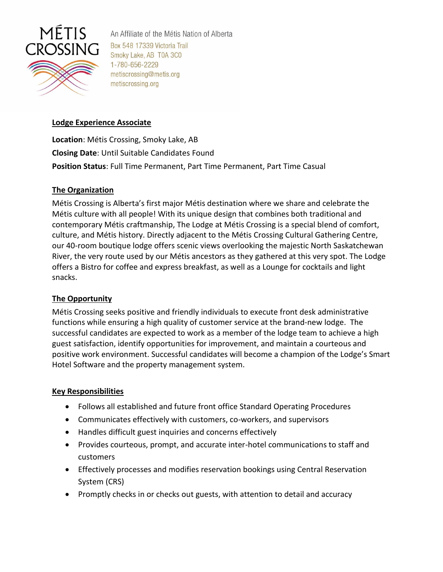

An Affiliate of the Métis Nation of Alberta Box 548 17339 Victoria Trail Smoky Lake, AB T0A 3C0 1-780-656-2229 metiscrossing@metis.org metiscrossing.org

# **Lodge Experience Associate**

**Location**: Métis Crossing, Smoky Lake, AB **Closing Date**: Until Suitable Candidates Found **Position Status**: Full Time Permanent, Part Time Permanent, Part Time Casual

# **The Organization**

Métis Crossing is Alberta's first major Métis destination where we share and celebrate the Métis culture with all people! With its unique design that combines both traditional and contemporary Métis craftmanship, The Lodge at Métis Crossing is a special blend of comfort, culture, and Métis history. Directly adjacent to the Métis Crossing Cultural Gathering Centre, our 40-room boutique lodge offers scenic views overlooking the majestic North Saskatchewan River, the very route used by our Métis ancestors as they gathered at this very spot. The Lodge offers a Bistro for coffee and express breakfast, as well as a Lounge for cocktails and light snacks.

### **The Opportunity**

Métis Crossing seeks positive and friendly individuals to execute front desk administrative functions while ensuring a high quality of customer service at the brand-new lodge. The successful candidates are expected to work as a member of the lodge team to achieve a high guest satisfaction, identify opportunities for improvement, and maintain a courteous and positive work environment. Successful candidates will become a champion of the Lodge's Smart Hotel Software and the property management system.

### **Key Responsibilities**

- Follows all established and future front office Standard Operating Procedures
- Communicates effectively with customers, co-workers, and supervisors
- Handles difficult guest inquiries and concerns effectively
- Provides courteous, prompt, and accurate inter-hotel communications to staff and customers
- Effectively processes and modifies reservation bookings using Central Reservation System (CRS)
- Promptly checks in or checks out guests, with attention to detail and accuracy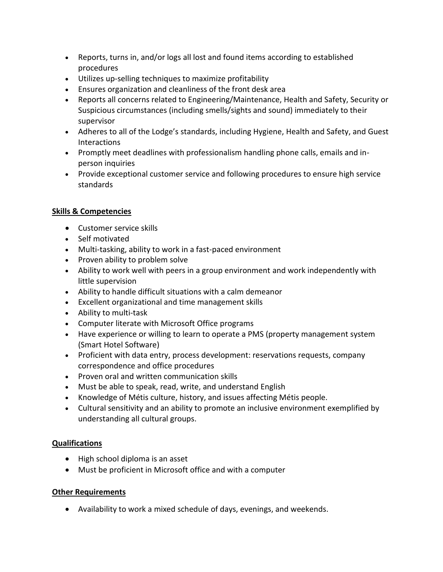- Reports, turns in, and/or logs all lost and found items according to established procedures
- Utilizes up-selling techniques to maximize profitability
- Ensures organization and cleanliness of the front desk area
- Reports all concerns related to Engineering/Maintenance, Health and Safety, Security or Suspicious circumstances (including smells/sights and sound) immediately to their supervisor
- Adheres to all of the Lodge's standards, including Hygiene, Health and Safety, and Guest Interactions
- Promptly meet deadlines with professionalism handling phone calls, emails and inperson inquiries
- Provide exceptional customer service and following procedures to ensure high service standards

# **Skills & Competencies**

- Customer service skills
- Self motivated
- Multi-tasking, ability to work in a fast-paced environment
- Proven ability to problem solve
- Ability to work well with peers in a group environment and work independently with little supervision
- Ability to handle difficult situations with a calm demeanor
- Excellent organizational and time management skills
- Ability to multi-task
- Computer literate with Microsoft Office programs
- Have experience or willing to learn to operate a PMS (property management system (Smart Hotel Software)
- Proficient with data entry, process development: reservations requests, company correspondence and office procedures
- Proven oral and written communication skills
- Must be able to speak, read, write, and understand English
- Knowledge of Métis culture, history, and issues affecting Métis people.
- Cultural sensitivity and an ability to promote an inclusive environment exemplified by understanding all cultural groups.

# **Qualifications**

- High school diploma is an asset
- Must be proficient in Microsoft office and with a computer

# **Other Requirements**

• Availability to work a mixed schedule of days, evenings, and weekends.